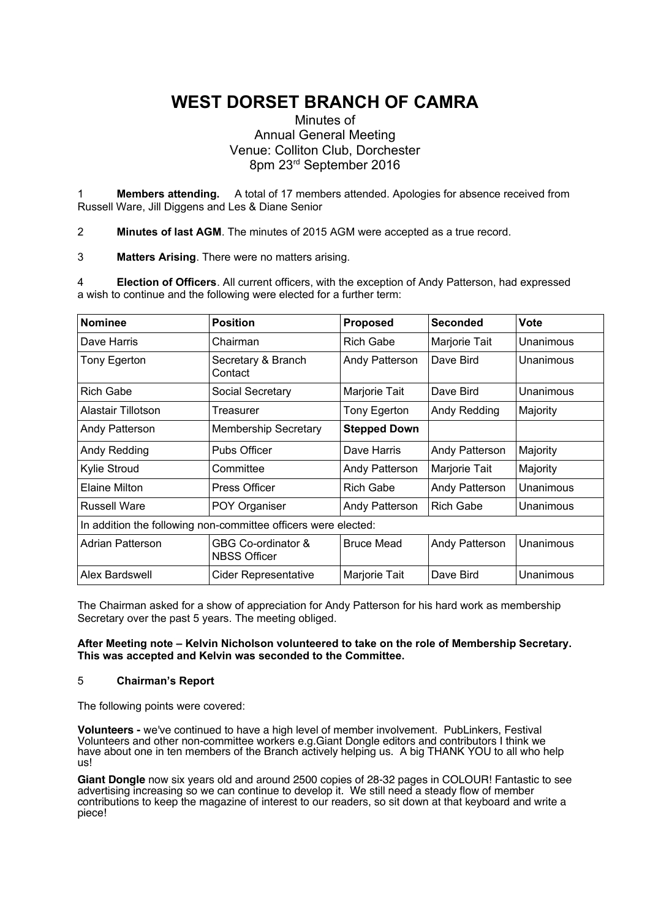# **WEST DORSET BRANCH OF CAMRA**

# Minutes of Annual General Meeting Venue: Colliton Club, Dorchester 8pm 23rd September 2016

1 **Members attending.** A total of 17 members attended. Apologies for absence received from Russell Ware, Jill Diggens and Les & Diane Senior

2 **Minutes of last AGM**. The minutes of 2015 AGM were accepted as a true record.

3 **Matters Arising**. There were no matters arising.

4 **Election of Officers**. All current officers, with the exception of Andy Patterson, had expressed a wish to continue and the following were elected for a further term:

| <b>Nominee</b>                                                 | <b>Position</b>                           | <b>Proposed</b>     | <b>Seconded</b>  | <b>Vote</b> |
|----------------------------------------------------------------|-------------------------------------------|---------------------|------------------|-------------|
| Dave Harris                                                    | Chairman                                  | <b>Rich Gabe</b>    | Marjorie Tait    | Unanimous   |
| Tony Egerton                                                   | Secretary & Branch<br>Contact             | Andy Patterson      | Dave Bird        | Unanimous   |
| <b>Rich Gabe</b>                                               | Social Secretary                          | Marjorie Tait       | Dave Bird        | Unanimous   |
| Alastair Tillotson                                             | Treasurer                                 | Tony Egerton        | Andy Redding     | Majority    |
| Andy Patterson                                                 | <b>Membership Secretary</b>               | <b>Stepped Down</b> |                  |             |
| Andy Redding                                                   | Pubs Officer                              | Dave Harris         | Andy Patterson   | Majority    |
| Kylie Stroud                                                   | Committee                                 | Andy Patterson      | Marjorie Tait    | Majority    |
| Elaine Milton                                                  | <b>Press Officer</b>                      | <b>Rich Gabe</b>    | Andy Patterson   | Unanimous   |
| <b>Russell Ware</b>                                            | POY Organiser                             | Andy Patterson      | <b>Rich Gabe</b> | Unanimous   |
| In addition the following non-committee officers were elected: |                                           |                     |                  |             |
| Adrian Patterson                                               | GBG Co-ordinator &<br><b>NBSS Officer</b> | <b>Bruce Mead</b>   | Andy Patterson   | Unanimous   |
| Alex Bardswell                                                 | <b>Cider Representative</b>               | Marjorie Tait       | Dave Bird        | Unanimous   |

The Chairman asked for a show of appreciation for Andy Patterson for his hard work as membership Secretary over the past 5 years. The meeting obliged.

# **After Meeting note – Kelvin Nicholson volunteered to take on the role of Membership Secretary. This was accepted and Kelvin was seconded to the Committee.**

# 5 **Chairman's Report**

The following points were covered:

**Volunteers -** we've continued to have a high level of member involvement. PubLinkers, Festival Volunteers and other non-committee workers e.g.Giant Dongle editors and contributors I think we have about one in ten members of the Branch actively helping us. A big THANK YOU to all who help us!

**Giant Dongle** now six years old and around 2500 copies of 28-32 pages in COLOUR! Fantastic to see advertising increasing so we can continue to develop it. We still need a steady flow of member contributions to keep the magazine of interest to our readers, so sit down at that keyboard and write a piece!